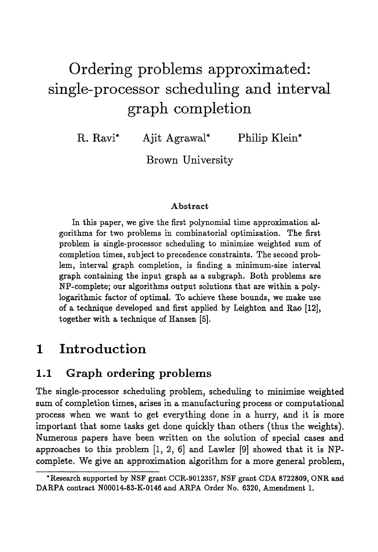# **Ordering problems approximated: single-processor scheduling and interval graph completion**

R. Ravi\* Ajit Agrawal\* Philip Klein\*

Brown University

#### Abstract

In this paper, we give the first polynomial time approximation algorithms for two problems in combinatorial optimization. The first problem is single-processor scheduling to minimize weighted sum of completion times, subject to precedence constraints. The second problem, interval graph completion, is finding a minimum-size interval graph containing the input graph as a subgraph. Both problems are NP-complete; our algorithms output solutions that are within a polylogarithmic factor of optimal. To achieve these bounds, we make use of a technique developed and first applied by Leighton and Rao  $[12]$ , together with a technique of Hansen [5].

## **1 Introduction**

### **1.1 Graph ordering problems**

The single-processor scheduling problem, scheduling to minimize weighted sum of completion times, arises in a manufacturing process or computational process when we want to get everything done in a hurry, and it is more important that some tasks get done quickly than others (thus the weights). Numerous papers have been written on the solution of special cases and approaches to this problem [1, 2, 6] and Lawler [9] showed that it is NPcomplete. We give an approximation algorithm for a more general problem,

<sup>\*</sup>Research supported by NSF grant CCR-9012357, NSF grant CDA 8722809, ONR and DARPA contract N00014-83-K-0146 and ARPA Order No. 6320, Amendment 1.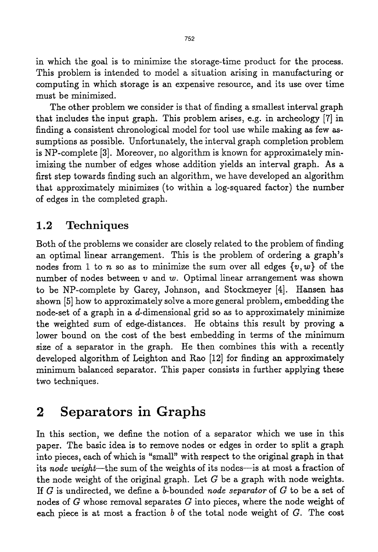in which the goal is to minimize the storage-time product for the process. This problem is intended to model a situation arising in manufacturing or computing in which storage is an expensive resource, and its use over time must be minimized.

The other problem we consider is that of finding a smallest interval graph that includes the input graph. This problem arises, e.g. in archeology [7] in finding a consistent chronological model for tool use while making as few assumptions as possible. Unfortunately, the interval graph completion problem is NP-complete [3]. Moreover, no algorithm is known for approximately minimizing the number of edges whose addition yields an interval graph. As a first step towards finding such an algorithm, we have developed an algorithm that approximately minimizes (to within a log-squared factor) the number of edges in the completed graph.

## **1.2 Techniques**

Both of the problems we consider are closely related to the problem of finding an optimal linear arrangement. This is the problem of ordering a graph's nodes from 1 to n so as to minimize the sum over all edges  $\{v, w\}$  of the number of nodes between  $v$  and  $w$ . Optimal linear arrangement was shown to be NP-complete by Garey, Johnson, and Stockmeyer [4]. Hansen has shown [5] how to approximately solve a more general problem, embedding the node-set of a graph in a d-dimensionaI grid so as to approximately minimize the weighted sum of edge-distances. He obtains this result by proving a lower bound on the cost of the best embedding in terms of the minimum size of a separator in the graph. He then combines this with a recently developed algorithm of Leighton and Rao [12] for finding an approximately minimum balanced separator. This paper consists in further applying these two techniques.

## **2 Separators in Graphs**

In this section, we define the notion of a separator which we use in this paper. The basic idea is to remove nodes or edges in order to split a graph into pieces, each of which is "small" with respect to the original graph in that its node weight--the sum of the weights of its nodes--is at most a fraction of the node weight of the original graph. Let  $G$  be a graph with node weights. If G is undirected, we define a b-bounded *node separator* of G to be a set of nodes of  $G$  whose removal separates  $G$  into pieces, where the node weight of each piece is at most a fraction  $b$  of the total node weight of  $G$ . The cost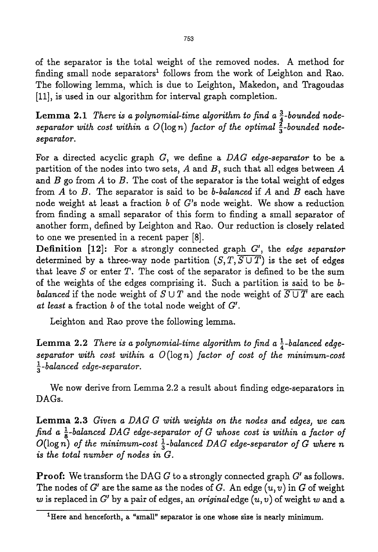of the separator is the total weight of the removed nodes. A method for finding small node separators<sup>1</sup> follows from the work of Leighton and Rao. The following lemma, which is due to Leighton, Makedon, and Tragoudas [11], is used in our algorithm for interval graph completion.

**Lemma 2.1** *There is a polynomial-time algorithm to find a*  $\frac{3}{4}$ -bounded nodeseparator with cost within a  $O(\log n)$  factor of the optimal  $\frac{2}{3}$ -bounded node*separator.* 

For a directed acyclic graph G, we define a *DAG edge-separator* to be a partition of the nodes into two sets,  $A$  and  $B$ , such that all edges between  $A$ and  $B$  go from  $A$  to  $B$ . The cost of the separator is the total weight of edges from A to B. The separator is said to be *b-balanced* if A and B each have node weight at least a fraction  $b$  of  $G$ 's node weight. We show a reduction from finding a small separator of this form to finding a small separator of another form, defined by Leighton and Rao. Our reduction is closely related to one we presented in a recent paper [8].

**Definition** [12]: For a strongly connected graph G', the *edge separator* determined by a three-way node partition  $(S, T, \overline{S \cup T})$  is the set of edges that leave S or enter T. The cost of the separator is defined to be the sum of the weights of the edges comprising it. Such a partition is said to be b*balanced* if the node weight of  $S \cup T$  and the node weight of  $\overline{S \cup T}$  are each at least a fraction b of the total node weight of  $G'$ .

Leighton and Rao prove the following lemma.

Lemma 2.2 *There is a polynomial-time algorithm to find a*  $\frac{1}{4}$ -balanced edge*separator with cost within a 0* (log *n) factor of cost of the minimum-cost 1-balanced edge-separator.* 

We now derive from Lemma 2.2 a result about finding edge-separators in DAGs.

Lemma 2.3 *Given a DAG G with weights on the nodes and edges, we can find a*  $\frac{1}{8}$ -balanced DAG edge-separator of G whose cost is within a factor of  $O(\log n)$  of the minimum-cost  $\frac{1}{3}$ -balanced DAG edge-separator of G where n *is the total number of nodes in G.* 

**Proof:** We transform the DAG  $G$  to a strongly connected graph  $G'$  as follows. The nodes of  $G'$  are the same as the nodes of  $G$ . An edge  $(u, v)$  in  $G$  of weight w is replaced in  $G'$  by a pair of edges, an *original* edge  $(u, v)$  of weight w and a

**<sup>1</sup>Here and henceforth, a "small" separator is one whose size is nearly minimum.**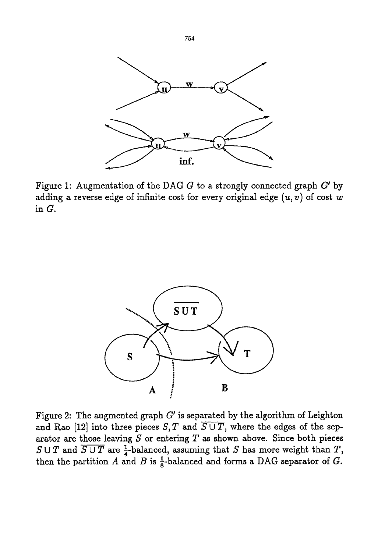

Figure 1: Augmentation of the DAG  $G$  to a strongly connected graph  $G'$  by adding a reverse edge of infinite cost for every original edge  $(u, v)$  of cost w in G.



Figure 2: The augmented graph  $G'$  is separated by the algorithm of Leighton and Rao [12] into three pieces  $S, T$  and  $\overline{S \cup T}$ , where the edges of the separator are those leaving  $S$  or entering  $T$  as shown above. Since both pieces  $S \cup T$  and  $\overline{S \cup T}$  are  $\frac{1}{4}$ -balanced, assuming that S has more weight than T, then the partition A and B is  $\frac{1}{8}$ -balanced and forms a DAG separator of G.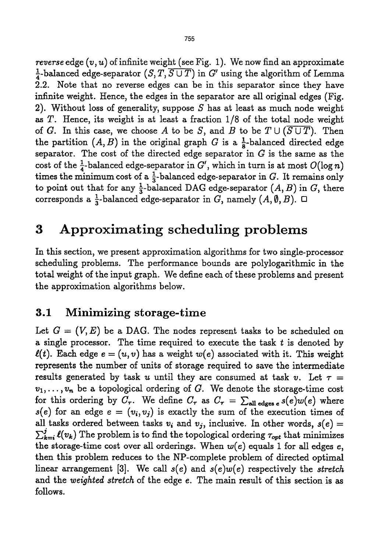*reverse* edge  $(v, u)$  of infinite weight (see Fig. 1). We now find an approximate <sup>1</sup>/<sub>4</sub>-balanced edge-separator  $(S, T, \overline{S \cup T})$  in G' using the algorithm of Lemma 2.2. Note that no reverse edges can be in this separator since they have infinite weight. Hence, the edges in the separator are all original edges (Fig. 2). Without loss of generality, suppose S has at least as much node weight as T. Hence, its weight is at least a fraction 1/8 of the total node weight of G. In this case, we choose A to be S, and B to be  $T \cup (\overline{S \cup T})$ . Then the partition  $(A, B)$  in the original graph G is a  $\frac{1}{8}$ -balanced directed edge separator. The cost of the directed edge separator in  $G$  is the same as the cost of the  $\frac{1}{4}$ -balanced edge-separator in G', which in turn is at most  $O(\log n)$ times the minimum cost of a  $\frac{1}{3}$ -balanced edge-separator in G. It remains only to point out that for any  $\frac{1}{3}$ -balanced DAG edge-separator  $(A, B)$  in G, there corresponds a  $\frac{1}{3}$ -balanced edge-separator in G, namely  $(A, \emptyset, B)$ .  $\Box$ 

## **3 Approximating scheduling problems**

In this section, we present approximation algorithms for two single-processor scheduling problems. The performance bounds are polylogarithmic in the total weight of the input graph. We define each of these problems and present the approximation algorithms below.

### **3.1 Minimizing storage-time**

Let  $G = (V, E)$  be a DAG. The nodes represent tasks to be scheduled on a single processor. The time required to execute the task  $t$  is denoted by  $\ell(t)$ . Each edge  $e = (u, v)$  has a weight  $w(e)$  associated with it. This weight represents the number of units of storage required to save the intermediate results generated by task u until they are consumed at task v. Let  $\tau =$  $v_1, \ldots, v_n$  be a topological ordering of G. We denote the storage-time cost for this ordering by  $C_{\tau}$ . We define  $C_{\tau}$  as  $C_{\tau} = \sum_{\text{all edges } \epsilon} s(e)w(e)$  where  $s(e)$  for an edge  $e = (v_i, v_j)$  is exactly the sum of the execution times of all tasks ordered between tasks  $v_i$  and  $v_j$ , inclusive. In other words,  $s(e)$  =  $\sum_{k=i}^{j} \ell(v_k)$  The problem is to find the topological ordering  $\tau_{opt}$  that minimizes the storage-time cost over all orderings. When  $w(e)$  equals 1 for all edges  $e$ , then this problem reduces to the NP-complete problem of directed optimal linear arrangement [3]. We call *s(e)* and *s(e)w(e)* respectively the *stretch*  and the *weighted stretch* of the edge e. The main result of this section is as follows.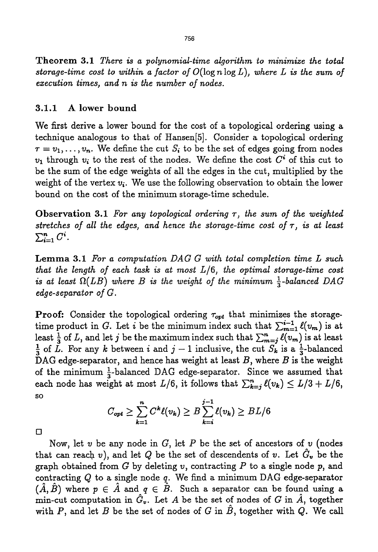Theorem 3.1 *There is a polynomial-time algorithm to minimize the total storage-time cost to within a factor of* O(log n log *L), where L is the sum of execution times, and n is the number of nodes.* 

#### **3.1.1 A lower bound**

We first derive a lower bound for the cost of a topological ordering using a technique analogous to that of Hansen[5]. Consider a topologicaJ ordering  $\tau = v_1,\ldots, v_n.$  We define the cut  $S_i$  to be the set of edges going from nodes  $v_1$  through  $v_i$  to the rest of the nodes. We define the cost  $C^*$  of this cut to be the sum of the edge weights of all the edges in the cut, multiplied by the weight of the vertex  $v_i$ . We use the following observation to obtain the lower bound on the cost of the minimum storage-time schedule.

Observation 3.1 *For any topological ordering r, the sum of the weighted*  stretches of all the edges, and hence the storage-time cost of  $\tau$ , is at least  $\sum_{i=1}^n C^i$ .

**Lemma** 3.1 *For a computation DAG G with total completion time L such that the length of each task is at most L/6, the optimal storage-time cost is at least*  $\Omega(LB)$  where B is the weight of the minimum  $\frac{1}{3}$ -balanced DAG *edge-separator of G.* 

**Proof:** Consider the topological ordering  $\tau_{opt}$  that minimizes the storagetime product in G. Let i be the minimum index such that  $\sum_{m=1}^{i-1} \ell(v_m)$  is at least  $\frac{1}{3}$  of L, and let j be the maximum index such that  $\sum_{m=i}^{n} \ell(v_m)$  is at least  $\frac{1}{3}$  of L. For any k between i and  $j-1$  inclusive, the cut  $S_k$  is a  $\frac{1}{3}$ -balanced DAG edge-separator, and hence has weight at least  $B$ , where  $B$  is the weight of the minimum  $\frac{1}{3}$ -balanced DAG edge-separator. Since we assumed that each node has weight at most  $L/6$ , it follows that  $\sum_{k=i}^{n} \ell(v_k) \leq L/3 + L/6$ , SO

$$
C_{opt} \geq \sum_{k=1}^n C^k \ell(v_k) \geq B \sum_{k=i}^{j-1} \ell(v_k) \geq BL/6
$$

 $\Box$ 

Now, let  $v$  be any node in  $G$ , let  $P$  be the set of ancestors of  $v$  (nodes that can reach v), and let Q be the set of descendents of v. Let  $G_v$  be the graph obtained from  $G$  by deleting  $v$ , contracting  $P$  to a single node  $p$ , and contracting  $Q$  to a single node  $q$ . We find a minimum DAG edge-separator  $(\hat{A}, \hat{B})$  where  $p \in \hat{A}$  and  $q \in \hat{B}$ . Such a separator can be found using a min-cut computation in  $G_{v}$ . Let A be the set of nodes of G in  $\hat{A}$ , together with P, and let B be the set of nodes of G in  $\ddot{B}$ , together with Q. We call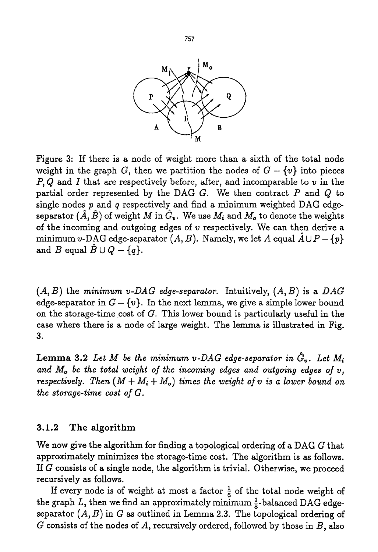

Figure 3: H there is a node of weight more than a sixth of the total node weight in the graph G, then we partition the nodes of  $G - \{v\}$  into pieces  $P, Q$  and I that are respectively before, after, and incomparable to  $v$  in the partial order represented by the DAG  $G$ . We then contract  $P$  and  $Q$  to single nodes  $p$  and  $q$  respectively and find a minimum weighted DAG edgeseparator  $(\hat{A}, \hat{B})$  of weight M in  $\hat{G}_v$ . We use M<sub>i</sub> and M<sub>o</sub> to denote the weights of the incoming and outgoing edges of  $v$  respectively. We can then derive a minimum v-DAG edge-separator  $(A, B)$ . Namely, we let A equal  $\hat{A} \cup P - \{p\}$ and B equal  $\hat{B} \cup Q - \{q\}.$ 

 $(A, B)$  the *minimum v-DAG edge-separator.* Intuitively,  $(A, B)$  is a DAG edge-separator in  $G - \{v\}$ . In the next lemma, we give a simple lower bound on the storage-time cost of  $G$ . This lower bound is particularly useful in the case where there is a node of large weight. The lemma is illustrated in Fig. 3.

**Lemma 3.2** Let M be the minimum v-DAG edge-separator in  $\tilde{G}_v$ . Let  $M_i$ *and Mo be the total weight of the incoming edges and outgoing edges of v, respectively. Then*  $(M + M_i + M_o)$  times the weight of v is a lower bound on *the storage-time cost of G.* 

#### 3.1.2 The **algorithm**

We now give the algorithm for finding a topological ordering of a DAG G that approximately minimizes the storage-time cost. The algorithm is as follows. If  $G$  consists of a single node, the algorithm is trivial. Otherwise, we proceed recursively as follows.

If every node is of weight at most a factor  $\frac{1}{6}$  of the total node weight of the graph *L*, then we find an approximately minimum  $\frac{1}{8}$ -balanced DAG edgeseparator *(A, B)* in G as outlined in Lemma 2.3. The topological ordering of G consists of the nodes of *A,* recursively ordered, followed by those in *B,* also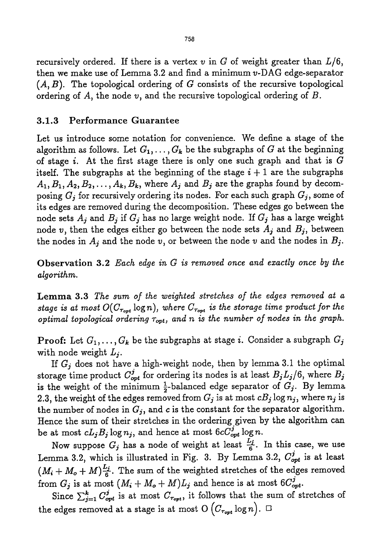recursively ordered. If there is a vertex  $v$  in  $G$  of weight greater than  $L/6$ , then we make use of Lemma 3.2 and find a minimum v-DAG edge-separator  $(A, B)$ . The topological ordering of G consists of the recursive topological ordering of A, the node *v,* and the recursive topological ordering of B.

#### 3.1.3 Performance Guarantee

Let us introduce some notation for convenience. We define a stage of the algorithm as follows. Let  $G_1, \ldots, G_k$  be the subgraphs of G at the beginning of stage i. At the first stage there is only one such graph and that is  $G$ itself. The subgraphs at the beginning of the stage  $i + 1$  are the subgraphs  $A_1, B_1, A_2, B_2, \ldots, A_k, B_k$ , where  $A_j$  and  $B_j$  are the graphs found by decomposing  $G_i$  for recursively ordering its nodes. For each such graph  $G_j$ , some of its edges are removed during the decomposition. These edges go between the node sets  $A_j$  and  $B_j$  if  $G_j$  has no large weight node. If  $G_j$  has a large weight node v, then the edges either go between the node sets  $A_j$  and  $B_j$ , between the nodes in  $A_j$  and the node v, or between the node v and the nodes in  $B_j$ .

Observation 3.2 *Each edge in G is removed once and exactly once by the algorithm.* 

Lemma 3.3 *The sum of the weighted stretches of the edges removed at a stage is at most*  $O(C_{\tau_{opt}} \log n)$ , where  $C_{\tau_{opt}}$  is the storage time product for the *optimal topological ordering ropt, and n is the number of nodes in the graph.* 

**Proof.** Let  $G_1, \ldots, G_k$  be the subgraphs at stage i. Consider a subgraph  $G_j$ with node weight  $L_i$ .

If  $G_j$  does not have a high-weight node, then by lemma 3.1 the optimal storage time product  $C_{opt}^j$  for ordering its nodes is at least  $B_jL_j/6$ , where  $B_j$ is the weight of the minimum  $\frac{1}{2}$ -balanced edge separator of  $G_j$ . By lemma 2.3, the weight of the edges removed from  $G_j$  is at most  $cB_j \log n_j$ , where  $n_j$  is the number of nodes in  $G_i$ , and c is the constant for the separator algorithm. Hence the sum of their stretches in the ordering given by the algorithm can be at most  $cL_jB_j\log n_j$ , and hence at most  $6cC_{opt}^j\log n$ .

Now suppose  $G_j$  has a node of weight at least  $\frac{L_j}{6}$ . In this case, we use Lemma 3.2, which is illustrated in Fig. 3. By Lemma 3.2,  $C_{opt}^j$  is at least  $(M_i + M_o + M)_{\widehat{6}}^{L_i}$ . The sum of the weighted stretches of the edges removed from  $G_j$  is at most  $(M_i + M_o + M)L_j$  and hence is at most  $6C_{opt}^j$ .

Since  $\sum_{j=1}^{k} C_{opt}^{j}$  is at most  $C_{\tau_{opt}}$ , it follows that the sum of stretches of the edges removed at a stage is at most O  $(C_{\tau_{opt}} \log n)$ .  $\Box$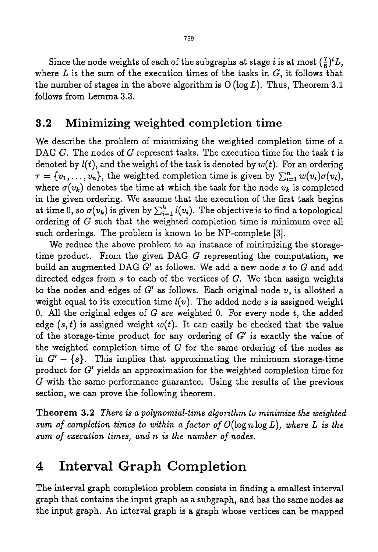Since the node weights of each of the subgraphs at stage *i* is at most  $(\frac{7}{8})^iL$ , where L is the sum of the execution times of the tasks in *G,* it follows that the number of stages in the above algorithm is  $O(log L)$ . Thus, Theorem 3.1 follows from Lemma 3.3.

### **3.2 Minimizing weighted completion time**

We describe the problem of minimizing the weighted completion time of a DAG G. The nodes of G represent tasks. The execution time for the task  $t$  is denoted by  $l(t)$ , and the weight of the task is denoted by  $w(t)$ . For an ordering  $\tau = \{v_1, \ldots, v_n\}$ , the weighted completion time is given by  $\sum_{i=1}^n w(v_i)\sigma(v_i)$ , where  $\sigma(v_k)$  denotes the time at which the task for the node  $v_k$  is completed in the given ordering. We assume that the execution of the first task begins at time 0, so  $\sigma(v_k)$  is given by  $\sum_{i=1}^k l(v_i)$ . The objective is to find a topological ordering of G such that the weighted completion time is minimum over all such orderings. The problem is known to be NP-complete [3].

We reduce the above problem to an instance of minimizing the storagetime product. From the given DAG G representing the computation, we build an augmented DAG G' as follows. We add a new node s to G and add directed edges from  $s$  to each of the vertices of  $G$ . We then assign weights to the nodes and edges of  $G'$  as follows. Each original node  $v$ , is allotted a weight equal to its execution time  $l(v)$ . The added node s is assigned weight 0. All the original edges of  $G$  are weighted 0. For every node  $t$ , the added edge  $(s, t)$  is assigned weight  $w(t)$ . It can easily be checked that the value of the storage-time product for any ordering of  $G'$  is exactly the value of the weighted completion time of  $G$  for the same ordering of the nodes as in  $G' - \{s\}$ . This implies that approximating the minimum storage-time product for  $G'$  yields an approximation for the weighted completion time for G with the same performance guarantee. Using the results of the previous section, we can prove the following theorem.

Theorem 3.2 *There is a polynomial-time algorithm to minimize the weighted sum of completion times to within a factor of*  $O(\log n \log L)$ , where L is the *sum of execution times~ and n is the number of nodes.* 

## **4 Interval Graph Completion**

The interval graph completion problem consists in finding a smallest interval graph that contains the input graph as a subgraph, and has the same nodes as the input graph. An interval graph is a graph whose vertices can be mapped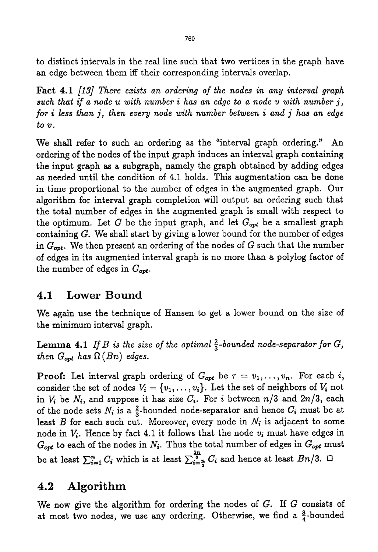to distinct intervals in the real line such that two vertices in the graph have an edge between them iff their corresponding intervals overlap.

Fact 4.1 *[13] There exists an ordering of the nodes in any interval graph such that if a node u with number i has an edge to a node v with number j, for i less than j, then every node with number between i and j has an edge to v.* 

We shall refer to such an ordering as the "interval graph ordering." An ordering of the nodes of the input graph induces an interval graph containing the input graph as a subgraph, namely the graph obtained by adding edges as needed until the condition of 4.1 holds. This augmentation can be done in time proportional to the number of edges in the augmented graph. Our algorithm for interval graph completion will output an ordering such that the total number of edges in the augmented graph is small with respect to the optimum. Let G be the input graph, and let  $G_{opt}$  be a smallest graph containing  $G$ . We shall start by giving a lower bound for the number of edges in  $G_{opt}$ . We then present an ordering of the nodes of G such that the number of edges in its augmented interval graph is no more than a polylog factor of the number of edges in  $G_{opt}$ .

### **4.1 Lower Bound**

We again use the technique of Hansen to get a lower bound on the size of the minimum interval graph.

**Lemma 4.1** *If B is the size of the optimal*  $\frac{2}{3}$ -bounded node-separator for G, *then*  $G_{opt}$  has  $\Omega$  (Bn) edges.

**Proof:** Let interval graph ordering of  $G_{opt}$  be  $\tau = v_1, \ldots, v_n$ . For each i, consider the set of nodes  $V_i = \{v_1, \ldots, v_i\}$ . Let the set of neighbors of  $V_i$  not in  $V_i$  be  $N_i$ , and suppose it has size  $C_i$ . For i between  $n/3$  and  $2n/3$ , each of the node sets  $N_i$  is a  $\frac{2}{3}$ -bounded node-separator and hence  $C_i$  must be at least  $B$  for each such cut. Moreover, every node in  $N_i$  is adjacent to some node in  $V_i$ . Hence by fact 4.1 it follows that the node  $v_i$  must have edges in  $G_{opt}$  to each of the nodes in  $N_i$ . Thus the total number of edges in  $G_{opt}$  must be at least  $\sum_{i=1}^n C_i$  which is at least  $\sum_{i=\frac{n}{2}}^{\frac{2n}{3}} C_i$  and hence at least *Bn/3.*  $\Box$ 

### **4.2 Algorithm**

We now give the algorithm for ordering the nodes of G. If G consists of at most two nodes, we use any ordering. Otherwise, we find a  $\frac{3}{4}$ -bounded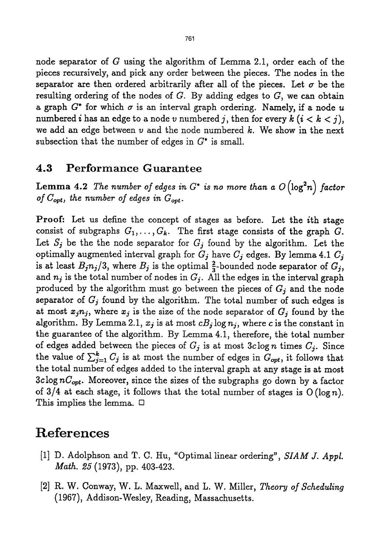node separator of G using the algorithm of Lemma 2.1, order each of the pieces recursively, and pick any order between the pieces. The nodes in the separator are then ordered arbitrarily after all of the pieces. Let  $\sigma$  be the resulting ordering of the nodes of G. By adding edges to *G,* we can obtain a graph  $G^*$  for which  $\sigma$  is an interval graph ordering. Namely, if a node u numbered *i* has an edge to a node v numbered *j*, then for every  $k$  ( $i < k < j$ ), we add an edge between  $\nu$  and the node numbered k. We show in the next subsection that the number of edges in  $G^*$  is small.

#### 4.3 Performance Guarantee

Lemma 4.2 The number of edges in  $G^*$  is no more than a  $O(\log^2 n)$  factor of  $C_{opt}$ , the number of edges in  $G_{opt}$ .

Proof: Let us define the concept of stages as before. Let the ith stage consist of subgraphs  $G_1, \ldots, G_k$ . The first stage consists of the graph G. Let  $S_j$  be the the node separator for  $G_j$  found by the algorithm. Let the optimally augmented interval graph for  $G_j$  have  $C_j$  edges. By lemma 4.1  $C_j$ is at least  $B_j n_j/3$ , where  $B_j$  is the optimal  $\frac{2}{3}$ -bounded node separator of  $G_j$ , and  $n_j$  is the total number of nodes in  $G_j$ . All the edges in the interval graph produced by the algorithm must go between the pieces of  $G_j$  and the node separator of  $G_j$  found by the algorithm. The total number of such edges is at most  $x_j n_j$ , where  $x_j$  is the size of the node separator of  $G_j$  found by the algorithm. By Lemma 2.1,  $x_j$  is at most  $cB_j \log n_j$ , where c is the constant in the guarantee of the algorithm. By Lemma 4.1, therefore, the total number of edges added between the pieces of  $G_j$  is at most  $3c \log n$  times  $C_j$ . Since the value of  $\sum_{j=1}^{k} C_j$  is at most the number of edges in  $G_{opt}$ , it follows that the total number of edges added to the interval graph at any stage is at most 3clog *nCopt.* Moreover, since the sizes of the subgraphs go down by a factor of 3/4 at each stage, it follows that the total number of stages is  $O(\log n)$ . This implies the lemma.  $\Box$ 

## **References**

- [1] D. Adolphson and T. C. Hu, "Optimal linear ordering", *SIAM J. Appl. Math. 25* (1973), pp. 403-423.
- [2] R. W. Conway, W. L. Maxwell, and L. W. Miller, *Theory of Scheduling*  (1967), Addison-Wesley, Reading, Massachusetts.